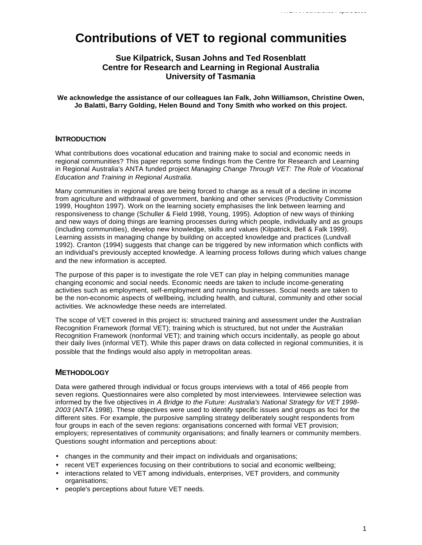# **Contributions of VET to regional communities**

# **Sue Kilpatrick, Susan Johns and Ted Rosenblatt Centre for Research and Learning in Regional Australia University of Tasmania**

**We acknowledge the assistance of our colleagues Ian Falk, John Williamson, Christine Owen, Jo Balatti, Barry Golding, Helen Bound and Tony Smith who worked on this project.**

# **INTRODUCTION**

What contributions does vocational education and training make to social and economic needs in regional communities? This paper reports some findings from the Centre for Research and Learning in Regional Australia's ANTA funded project *Managing Change Through VET: The Role of Vocational Education and Training in Regional Australia*.

Many communities in regional areas are being forced to change as a result of a decline in income from agriculture and withdrawal of government, banking and other services (Productivity Commission 1999, Houghton 1997). Work on the learning society emphasises the link between learning and responsiveness to change (Schuller & Field 1998, Young, 1995). Adoption of new ways of thinking and new ways of doing things are learning processes during which people, individually and as groups (including communities), develop new knowledge, skills and values (Kilpatrick, Bell & Falk 1999). Learning assists in managing change by building on accepted knowledge and practices (Lundvall 1992). Cranton (1994) suggests that change can be triggered by new information which conflicts with an individual's previously accepted knowledge. A learning process follows during which values change and the new information is accepted.

The purpose of this paper is to investigate the role VET can play in helping communities manage changing economic and social needs. Economic needs are taken to include income-generating activities such as employment, self-employment and running businesses. Social needs are taken to be the non-economic aspects of wellbeing, including health, and cultural, community and other social activities. We acknowledge these needs are interrelated.

The scope of VET covered in this project is: structured training and assessment under the Australian Recognition Framework (formal VET); training which is structured, but not under the Australian Recognition Framework (nonformal VET); and training which occurs incidentally, as people go about their daily lives (informal VET). While this paper draws on data collected in regional communities, it is possible that the findings would also apply in metropolitan areas.

# **METHODOLOGY**

Data were gathered through individual or focus groups interviews with a total of 466 people from seven regions. Questionnaires were also completed by most interviewees. Interviewee selection was informed by the five objectives in *A Bridge to the Future: Australia's National Strategy for VET 1998- 2003* (ANTA 1998). These objectives were used to identify specific issues and groups as foci for the different sites. For example, the purposive sampling strategy deliberately sought respondents from four groups in each of the seven regions: organisations concerned with formal VET provision; employers; representatives of community organisations; and finally learners or community members. Questions sought information and perceptions about:

- changes in the community and their impact on individuals and organisations;
- recent VET experiences focusing on their contributions to social and economic wellbeing;
- interactions related to VET among individuals, enterprises, VET providers, and community organisations;
- people's perceptions about future VET needs.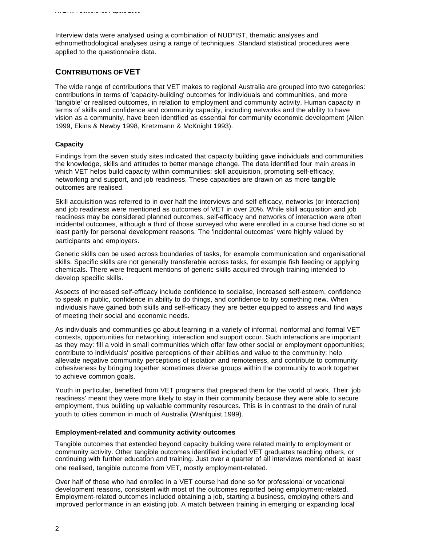Interview data were analysed using a combination of NUD\*IST, thematic analyses and ethnomethodological analyses using a range of techniques. Standard statistical procedures were applied to the questionnaire data.

# **CONTRIBUTIONS OF VET**

The wide range of contributions that VET makes to regional Australia are grouped into two categories: contributions in terms of 'capacity-building' outcomes for individuals and communities, and more 'tangible' or realised outcomes, in relation to employment and community activity. Human capacity in terms of skills and confidence and community capacity, including networks and the ability to have vision as a community, have been identified as essential for community economic development (Allen 1999, Ekins & Newby 1998, Kretzmann & McKnight 1993).

## **Capacity**

Findings from the seven study sites indicated that capacity building gave individuals and communities the knowledge, skills and attitudes to better manage change. The data identified four main areas in which VET helps build capacity within communities: skill acquisition, promoting self-efficacy, networking and support, and job readiness. These capacities are drawn on as more tangible outcomes are realised.

Skill acquisition was referred to in over half the interviews and self-efficacy, networks (or interaction) and job readiness were mentioned as outcomes of VET in over 20%. While skill acquisition and job readiness may be considered planned outcomes, self-efficacy and networks of interaction were often incidental outcomes, although a third of those surveyed who were enrolled in a course had done so at least partly for personal development reasons. The 'incidental outcomes' were highly valued by participants and employers.

Generic skills can be used across boundaries of tasks, for example communication and organisational skills. Specific skills are not generally transferable across tasks, for example fish feeding or applying chemicals. There were frequent mentions of generic skills acquired through training intended to develop specific skills.

Aspects of increased self-efficacy include confidence to socialise, increased self-esteem, confidence to speak in public, confidence in ability to do things, and confidence to try something new. When individuals have gained both skills and self-efficacy they are better equipped to assess and find ways of meeting their social and economic needs.

As individuals and communities go about learning in a variety of informal, nonformal and formal VET contexts, opportunities for networking, interaction and support occur. Such interactions are important as they may: fill a void in small communities which offer few other social or employment opportunities; contribute to individuals' positive perceptions of their abilities and value to the community; help alleviate negative community perceptions of isolation and remoteness, and contribute to community cohesiveness by bringing together sometimes diverse groups within the community to work together to achieve common goals.

Youth in particular, benefited from VET programs that prepared them for the world of work. Their 'job readiness' meant they were more likely to stay in their community because they were able to secure employment, thus building up valuable community resources. This is in contrast to the drain of rural youth to cities common in much of Australia (Wahlquist 1999).

## **Employment-related and community activity outcomes**

Tangible outcomes that extended beyond capacity building were related mainly to employment or community activity. Other tangible outcomes identified included VET graduates teaching others, or continuing with further education and training. Just over a quarter of all interviews mentioned at least one realised, tangible outcome from VET, mostly employment-related.

Over half of those who had enrolled in a VET course had done so for professional or vocational development reasons, consistent with most of the outcomes reported being employment-related. Employment-related outcomes included obtaining a job, starting a business, employing others and improved performance in an existing job. A match between training in emerging or expanding local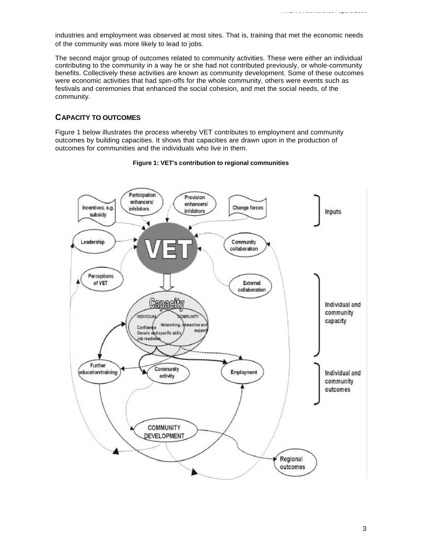industries and employment was observed at most sites. That is, training that met the economic needs of the community was more likely to lead to jobs.

The second major group of outcomes related to community activities. These were either an individual contributing to the community in a way he or she had not contributed previously, or whole-community benefits. Collectively these activities are known as community development. Some of these outcomes were economic activities that had spin-offs for the whole community, others were events such as festivals and ceremonies that enhanced the social cohesion, and met the social needs, of the community.

# **CAPACITY TO OUTCOMES**

Figure 1 below illustrates the process whereby VET contributes to employment and community outcomes by building capacities. It shows that capacities are drawn upon in the production of outcomes for communities and the individuals who live in them.



## **Figure 1: VET's contribution to regional communities**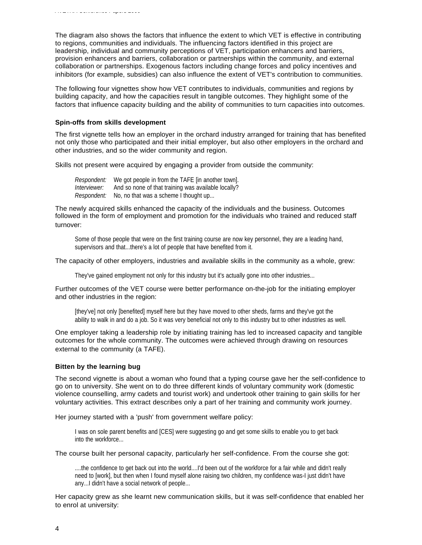The diagram also shows the factors that influence the extent to which VET is effective in contributing to regions, communities and individuals. The influencing factors identified in this project are leadership, individual and community perceptions of VET, participation enhancers and barriers, provision enhancers and barriers, collaboration or partnerships within the community, and external collaboration or partnerships. Exogenous factors including change forces and policy incentives and inhibitors (for example, subsidies) can also influence the extent of VET's contribution to communities.

The following four vignettes show how VET contributes to individuals, communities and regions by building capacity, and how the capacities result in tangible outcomes. They highlight some of the factors that influence capacity building and the ability of communities to turn capacities into outcomes.

#### **Spin-offs from skills development**

The first vignette tells how an employer in the orchard industry arranged for training that has benefited not only those who participated and their initial employer, but also other employers in the orchard and other industries, and so the wider community and region.

Skills not present were acquired by engaging a provider from outside the community:

| Respondent:        | We got people in from the TAFE [in another town].   |
|--------------------|-----------------------------------------------------|
| Interviewer:       | And so none of that training was available locally? |
| <i>Respondent:</i> | No, no that was a scheme I thought up               |

The newly acquired skills enhanced the capacity of the individuals and the business. Outcomes followed in the form of employment and promotion for the individuals who trained and reduced staff turnover:

Some of those people that were on the first training course are now key personnel, they are a leading hand, supervisors and that...there's a lot of people that have benefited from it.

#### The capacity of other employers, industries and available skills in the community as a whole, grew:

They've gained employment not only for this industry but it's actually gone into other industries...

Further outcomes of the VET course were better performance on-the-job for the initiating employer and other industries in the region:

[they've] not only [benefited] myself here but they have moved to other sheds, farms and they've got the ability to walk in and do a job. So it was very beneficial not only to this industry but to other industries as well.

One employer taking a leadership role by initiating training has led to increased capacity and tangible outcomes for the whole community. The outcomes were achieved through drawing on resources external to the community (a TAFE).

#### **Bitten by the learning bug**

The second vignette is about a woman who found that a typing course gave her the self-confidence to go on to university. She went on to do three different kinds of voluntary community work (domestic violence counselling, army cadets and tourist work) and undertook other training to gain skills for her voluntary activities. This extract describes only a part of her training and community work journey.

Her journey started with a 'push' from government welfare policy:

I was on sole parent benefits and [CES] were suggesting go and get some skills to enable you to get back into the workforce...

The course built her personal capacity, particularly her self-confidence. From the course she got:

....the confidence to get back out into the world....I'd been out of the workforce for a fair while and didn't really need to [work], but then when I found myself alone raising two children, my confidence was-I just didn't have any...I didn't have a social network of people...

Her capacity grew as she learnt new communication skills, but it was self-confidence that enabled her to enrol at university: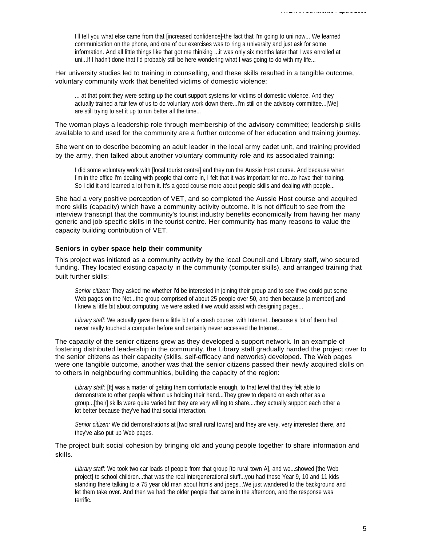I'll tell you what else came from that [increased confidence]-the fact that I'm going to uni now... We learned communication on the phone, and one of our exercises was to ring a university and just ask for some information. And all little things like that got me thinking ...it was only six months later that I was enrolled at uni...If I hadn't done that I'd probably still be here wondering what I was going to do with my life...

Her university studies led to training in counselling, and these skills resulted in a tangible outcome, voluntary community work that benefited victims of domestic violence:

... at that point they were setting up the court support systems for victims of domestic violence. And they actually trained a fair few of us to do voluntary work down there...I'm still on the advisory committee...[We] are still trying to set it up to run better all the time...

The woman plays a leadership role through membership of the advisory committee; leadership skills available to and used for the community are a further outcome of her education and training journey.

She went on to describe becoming an adult leader in the local army cadet unit, and training provided by the army, then talked about another voluntary community role and its associated training:

I did some voluntary work with [local tourist centre] and they run the Aussie Host course. And because when I'm in the office I'm dealing with people that come in, I felt that it was important for me...to have their training. So I did it and learned a lot from it. It's a good course more about people skills and dealing with people...

She had a very positive perception of VET, and so completed the Aussie Host course and acquired more skills (capacity) which have a community activity outcome. It is not difficult to see from the interview transcript that the community's tourist industry benefits economically from having her many generic and job-specific skills in the tourist centre. Her community has many reasons to value the capacity building contribution of VET.

#### **Seniors in cyber space help their community**

This project was initiated as a community activity by the local Council and Library staff, who secured funding. They located existing capacity in the community (computer skills), and arranged training that built further skills:

*Senior citizen:* They asked me whether I'd be interested in joining their group and to see if we could put some Web pages on the Net...the group comprised of about 25 people over 50, and then because [a member] and I knew a little bit about computing, we were asked if we would assist with designing pages...

*Library staff:* We actually gave them a little bit of a crash course, with Internet...because a lot of them had never really touched a computer before and certainly never accessed the Internet...

The capacity of the senior citizens grew as they developed a support network. In an example of fostering distributed leadership in the community, the Library staff gradually handed the project over to the senior citizens as their capacity (skills, self-efficacy and networks) developed. The Web pages were one tangible outcome, another was that the senior citizens passed their newly acquired skills on to others in neighbouring communities, building the capacity of the region:

*Library staff:* [It] was a matter of getting them comfortable enough, to that level that they felt able to demonstrate to other people without us holding their hand...They grew to depend on each other as a group...[their] skills were quite varied but they are very willing to share....they actually support each other a lot better because they've had that social interaction.

*Senior citizen:* We did demonstrations at [two small rural towns] and they are very, very interested there, and they've also put up Web pages.

The project built social cohesion by bringing old and young people together to share information and skills.

*Library staff:* We took two car loads of people from that group [to rural town A], and we...showed [the Web project] to school children...that was the real intergenerational stuff...you had these Year 9, 10 and 11 kids standing there talking to a 75 year old man about htmls and jpegs...We just wandered to the background and let them take over. And then we had the older people that came in the afternoon, and the response was terrific.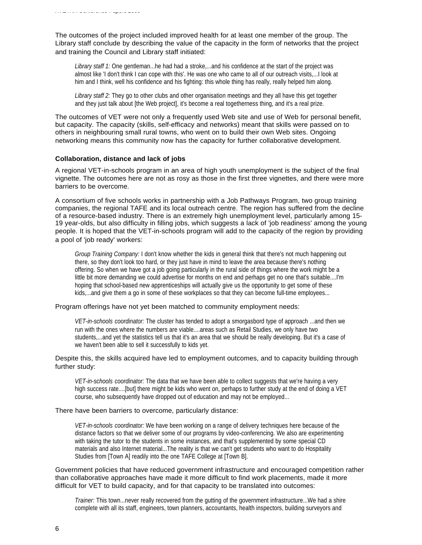The outcomes of the project included improved health for at least one member of the group. The Library staff conclude by describing the value of the capacity in the form of networks that the project and training the Council and Library staff initiated:

Library staff 1: One gentleman...he had had a stroke,...and his confidence at the start of the project was almost like 'I don't think I can cope with this'. He was one who came to all of our outreach visits,...I look at him and I think, well his confidence and his fighting: this whole thing has really, really helped him along.

*Library staff 2:* They go to other clubs and other organisation meetings and they all have this get together and they just talk about [the Web project], it's become a real togetherness thing, and it's a real prize.

The outcomes of VET were not only a frequently used Web site and use of Web for personal benefit, but capacity. The capacity (skills, self-efficacy and networks) meant that skills were passed on to others in neighbouring small rural towns, who went on to build their own Web sites. Ongoing networking means this community now has the capacity for further collaborative development.

#### **Collaboration, distance and lack of jobs**

A regional VET-in-schools program in an area of high youth unemployment is the subject of the final vignette. The outcomes here are not as rosy as those in the first three vignettes, and there were more barriers to be overcome.

A consortium of five schools works in partnership with a Job Pathways Program, two group training companies, the regional TAFE and its local outreach centre. The region has suffered from the decline of a resource-based industry. There is an extremely high unemployment level, particularly among 15- 19 year-olds, but also difficulty in filling jobs, which suggests a lack of 'job readiness' among the young people. It is hoped that the VET-in-schools program will add to the capacity of the region by providing a pool of 'job ready' workers:

*Group Training Company:* I don't know whether the kids in general think that there's not much happening out there, so they don't look too hard, or they just have in mind to leave the area because there's nothing offering. So when we have got a job going particularly in the rural side of things where the work might be a little bit more demanding we could advertise for months on end and perhaps get no one that's suitable....I'm hoping that school-based new apprenticeships will actually give us the opportunity to get some of these kids,...and give them a go in some of these workplaces so that they can become full-time employees...

#### Program offerings have not yet been matched to community employment needs:

*VET-in-schools coordinator:* The cluster has tended to adopt a smorgasbord type of approach ...and then we run with the ones where the numbers are viable....areas such as Retail Studies, we only have two students,...and yet the statistics tell us that it's an area that we should be really developing. But it's a case of we haven't been able to sell it successfully to kids yet.

### Despite this, the skills acquired have led to employment outcomes, and to capacity building through further study:

*VET-in-schools coordinator:* The data that we have been able to collect suggests that we're having a very high success rate....[but] there might be kids who went on, perhaps to further study at the end of doing a VET course, who subsequently have dropped out of education and may not be employed...

#### There have been barriers to overcome, particularly distance:

*VET-in-schools coordinator:* We have been working on a range of delivery techniques here because of the distance factors so that we deliver some of our programs by video-conferencing. We also are experimenting with taking the tutor to the students in some instances, and that's supplemented by some special CD materials and also Internet material...The reality is that we can't get students who want to do Hospitality Studies from [Town A] readily into the one TAFE College at [Town B].

Government policies that have reduced government infrastructure and encouraged competition rather than collaborative approaches have made it more difficult to find work placements, made it more difficult for VET to build capacity, and for that capacity to be translated into outcomes:

*Trainer:* This town...never really recovered from the gutting of the government infrastructure...We had a shire complete with all its staff, engineers, town planners, accountants, health inspectors, building surveyors and